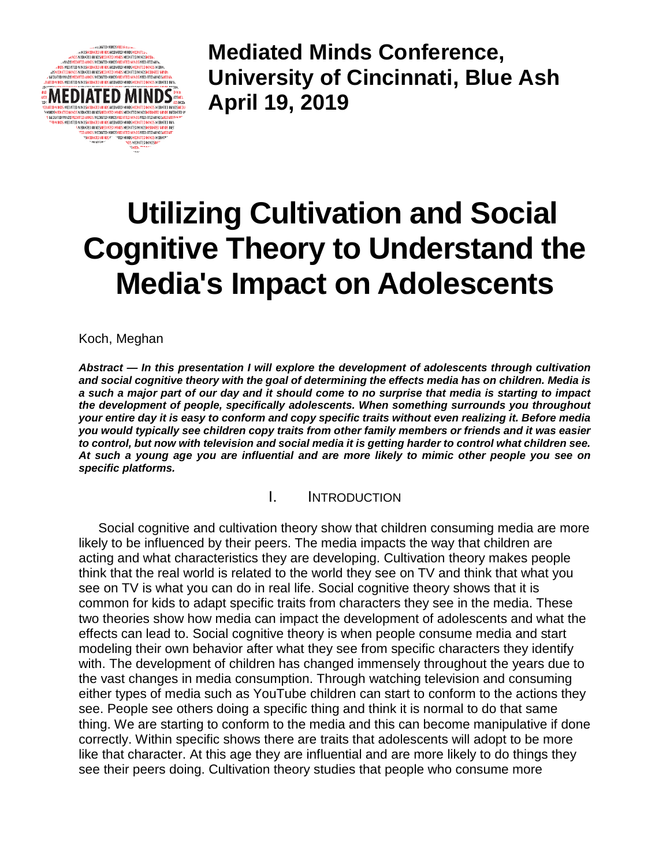

**Mediated Minds Conference, University of Cincinnati, Blue Ash April 19, 2019**

# **Utilizing Cultivation and Social Cognitive Theory to Understand the Media's Impact on Adolescents**

Koch, Meghan

*Abstract — In this presentation I will explore the development of adolescents through cultivation and social cognitive theory with the goal of determining the effects media has on children. Media is a such a major part of our day and it should come to no surprise that media is starting to impact the development of people, specifically adolescents. When something surrounds you throughout your entire day it is easy to conform and copy specific traits without even realizing it. Before media you would typically see children copy traits from other family members or friends and it was easier to control, but now with television and social media it is getting harder to control what children see. At such a young age you are influential and are more likely to mimic other people you see on specific platforms.*

### I. INTRODUCTION

Social cognitive and cultivation theory show that children consuming media are more likely to be influenced by their peers. The media impacts the way that children are acting and what characteristics they are developing. Cultivation theory makes people think that the real world is related to the world they see on TV and think that what you see on TV is what you can do in real life. Social cognitive theory shows that it is common for kids to adapt specific traits from characters they see in the media. These two theories show how media can impact the development of adolescents and what the effects can lead to. Social cognitive theory is when people consume media and start modeling their own behavior after what they see from specific characters they identify with. The development of children has changed immensely throughout the years due to the vast changes in media consumption. Through watching television and consuming either types of media such as YouTube children can start to conform to the actions they see. People see others doing a specific thing and think it is normal to do that same thing. We are starting to conform to the media and this can become manipulative if done correctly. Within specific shows there are traits that adolescents will adopt to be more like that character. At this age they are influential and are more likely to do things they see their peers doing. Cultivation theory studies that people who consume more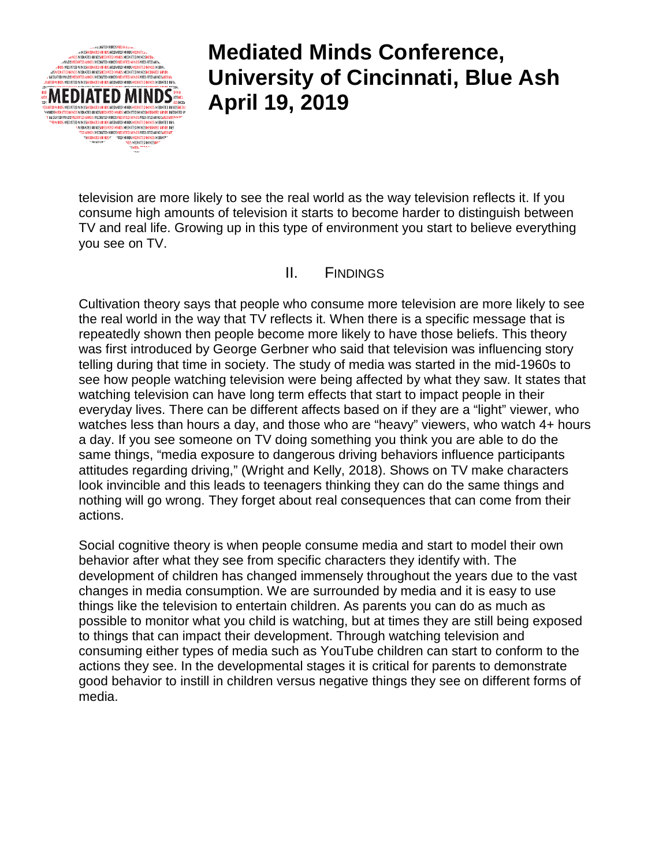

# **Mediated Minds Conference, University of Cincinnati, Blue Ash April 19, 2019**

television are more likely to see the real world as the way television reflects it. If you consume high amounts of television it starts to become harder to distinguish between TV and real life. Growing up in this type of environment you start to believe everything you see on TV.

### II. FINDINGS

Cultivation theory says that people who consume more television are more likely to see the real world in the way that TV reflects it. When there is a specific message that is repeatedly shown then people become more likely to have those beliefs. This theory was first introduced by George Gerbner who said that television was influencing story telling during that time in society. The study of media was started in the mid-1960s to see how people watching television were being affected by what they saw. It states that watching television can have long term effects that start to impact people in their everyday lives. There can be different affects based on if they are a "light" viewer, who watches less than hours a day, and those who are "heavy" viewers, who watch 4+ hours a day. If you see someone on TV doing something you think you are able to do the same things, "media exposure to dangerous driving behaviors influence participants attitudes regarding driving," (Wright and Kelly, 2018). Shows on TV make characters look invincible and this leads to teenagers thinking they can do the same things and nothing will go wrong. They forget about real consequences that can come from their actions.

Social cognitive theory is when people consume media and start to model their own behavior after what they see from specific characters they identify with. The development of children has changed immensely throughout the years due to the vast changes in media consumption. We are surrounded by media and it is easy to use things like the television to entertain children. As parents you can do as much as possible to monitor what you child is watching, but at times they are still being exposed to things that can impact their development. Through watching television and consuming either types of media such as YouTube children can start to conform to the actions they see. In the developmental stages it is critical for parents to demonstrate good behavior to instill in children versus negative things they see on different forms of media.